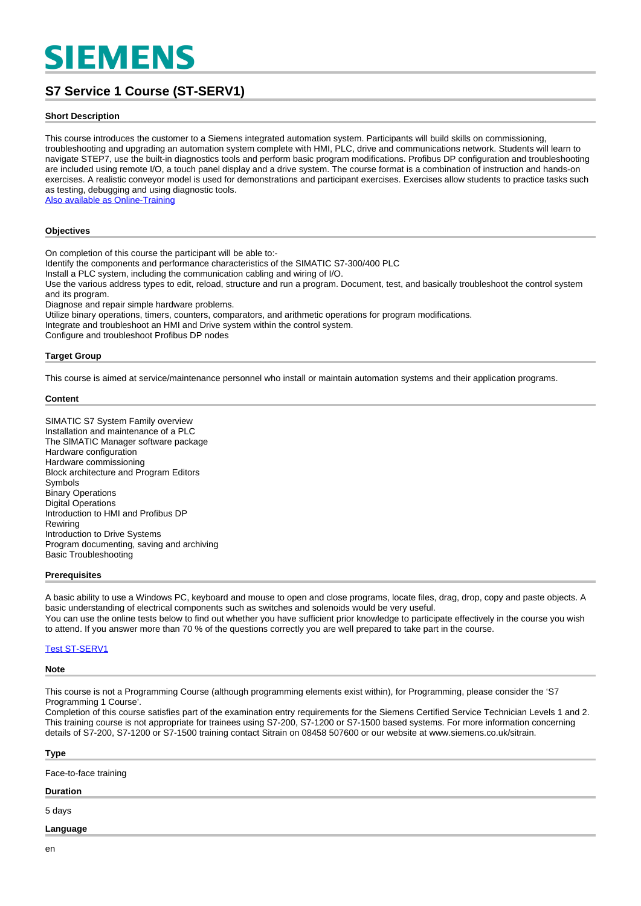# **SIEMENS**

## **S7 Service 1 Course (ST-SERV1)**

#### **Short Description**

This course introduces the customer to a Siemens integrated automation system. Participants will build skills on commissioning, troubleshooting and upgrading an automation system complete with HMI, PLC, drive and communications network. Students will learn to navigate STEP7, use the built-in diagnostics tools and perform basic program modifications. Profibus DP configuration and troubleshooting are included using remote I/O, a touch panel display and a drive system. The course format is a combination of instruction and hands-on exercises. A realistic conveyor model is used for demonstrations and participant exercises. Exercises allow students to practice tasks such as testing, debugging and using diagnostic tools.

[Also available as Online-Training](https://www.sitrain-learning.siemens.com/UK/en/rw94031/-Online-Training-S7-Service-1-Course)

#### **Objectives**

On completion of this course the participant will be able to:- Identify the components and performance characteristics of the SIMATIC S7-300/400 PLC Install a PLC system, including the communication cabling and wiring of I/O. Use the various address types to edit, reload, structure and run a program. Document, test, and basically troubleshoot the control system and its program. Diagnose and repair simple hardware problems. Utilize binary operations, timers, counters, comparators, and arithmetic operations for program modifications. Integrate and troubleshoot an HMI and Drive system within the control system.

Configure and troubleshoot Profibus DP nodes

#### **Target Group**

This course is aimed at service/maintenance personnel who install or maintain automation systems and their application programs.

#### **Content**

SIMATIC S7 System Family overview Installation and maintenance of a PLC The SlMATIC Manager software package Hardware configuration Hardware commissioning Block architecture and Program Editors Symbols Binary Operations Digital Operations Introduction to HMI and Profibus DP Rewiring Introduction to Drive Systems Program documenting, saving and archiving Basic Troubleshooting

#### **Prerequisites**

A basic ability to use a Windows PC, keyboard and mouse to open and close programs, locate files, drag, drop, copy and paste objects. A basic understanding of electrical components such as switches and solenoids would be very useful. You can use the online tests below to find out whether you have sufficient prior knowledge to participate effectively in the course you wish to attend. If you answer more than 70 % of the questions correctly you are well prepared to take part in the course.

#### [Test ST-SERV1](https://wbt.siemens.com/sitrain/ST-SERV1_EN)

#### **Note**

This course is not a Programming Course (although programming elements exist within), for Programming, please consider the 'S7 Programming 1 Course'.

Completion of this course satisfies part of the examination entry requirements for the Siemens Certified Service Technician Levels 1 and 2. This training course is not appropriate for trainees using S7-200, S7-1200 or S7-1500 based systems. For more information concerning details of S7-200, S7-1200 or S7-1500 training contact Sitrain on 08458 507600 or our website at www.siemens.co.uk/sitrain.

| <b>Type</b>           |  |  |
|-----------------------|--|--|
| Face-to-face training |  |  |
| <b>Duration</b>       |  |  |
| 5 days                |  |  |
| Language              |  |  |